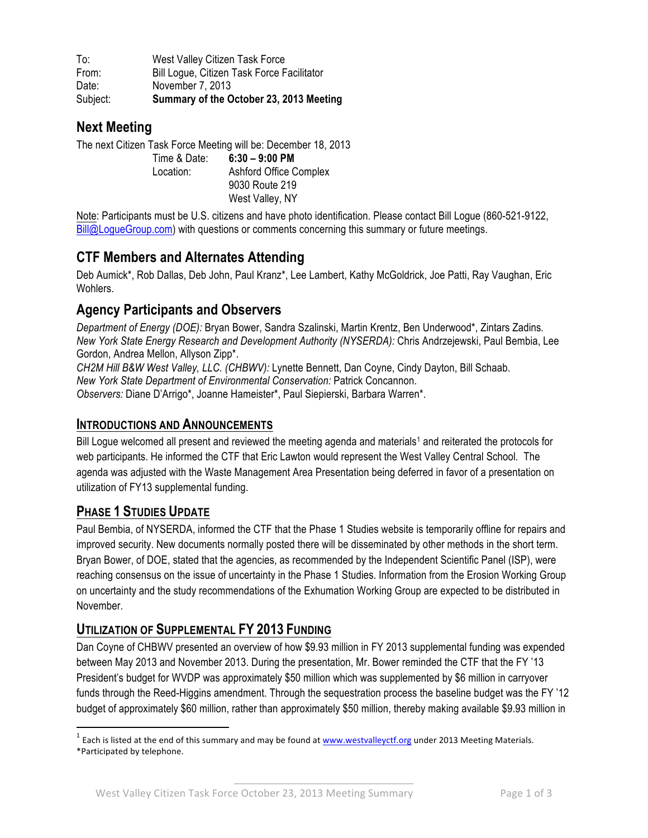To: West Valley Citizen Task Force From: Bill Logue, Citizen Task Force Facilitator Date: November 7, 2013 Subject: **Summary of the October 23, 2013 Meeting**

# **Next Meeting**

The next Citizen Task Force Meeting will be: December 18, 2013 Time & Date: **6:30 – 9:00 PM** Location: Ashford Office Complex 9030 Route 219 West Valley, NY

Note: Participants must be U.S. citizens and have photo identification. Please contact Bill Logue (860-521-9122, Bill@LogueGroup.com) with questions or comments concerning this summary or future meetings.

# **CTF Members and Alternates Attending**

Deb Aumick\*, Rob Dallas, Deb John, Paul Kranz\*, Lee Lambert, Kathy McGoldrick, Joe Patti, Ray Vaughan, Eric **Wohlers** 

# **Agency Participants and Observers**

*Department of Energy (DOE):* Bryan Bower, Sandra Szalinski, Martin Krentz, Ben Underwood\*, Zintars Zadins*. New York State Energy Research and Development Authority (NYSERDA):* Chris Andrzejewski, Paul Bembia, Lee Gordon, Andrea Mellon, Allyson Zipp\*.

*CH2M Hill B&W West Valley, LLC. (CHBWV):* Lynette Bennett, Dan Coyne, Cindy Dayton, Bill Schaab. *New York State Department of Environmental Conservation:* Patrick Concannon. *Observers:* Diane D'Arrigo\*, Joanne Hameister\*, Paul Siepierski, Barbara Warren\*.

#### **INTRODUCTIONS AND ANNOUNCEMENTS**

Bill Logue welcomed all present and reviewed the meeting agenda and materials<sup>1</sup> and reiterated the protocols for web participants. He informed the CTF that Eric Lawton would represent the West Valley Central School. The agenda was adjusted with the Waste Management Area Presentation being deferred in favor of a presentation on utilization of FY13 supplemental funding.

### **PHASE 1 STUDIES UPDATE**

Paul Bembia, of NYSERDA, informed the CTF that the Phase 1 Studies website is temporarily offline for repairs and improved security. New documents normally posted there will be disseminated by other methods in the short term. Bryan Bower, of DOE, stated that the agencies, as recommended by the Independent Scientific Panel (ISP), were reaching consensus on the issue of uncertainty in the Phase 1 Studies. Information from the Erosion Working Group on uncertainty and the study recommendations of the Exhumation Working Group are expected to be distributed in November.

### **UTILIZATION OF SUPPLEMENTAL FY 2013 FUNDING**

Dan Coyne of CHBWV presented an overview of how \$9.93 million in FY 2013 supplemental funding was expended between May 2013 and November 2013. During the presentation, Mr. Bower reminded the CTF that the FY '13 President's budget for WVDP was approximately \$50 million which was supplemented by \$6 million in carryover funds through the Reed-Higgins amendment. Through the sequestration process the baseline budget was the FY '12 budget of approximately \$60 million, rather than approximately \$50 million, thereby making available \$9.93 million in

\_\_\_\_\_\_\_\_\_\_\_\_\_\_\_\_\_\_\_\_\_\_\_\_\_\_\_\_\_\_\_

 $1$  Each is listed at the end of this summary and may be found at www.westvalleyctf.org under 2013 Meeting Materials.

<sup>\*</sup>Participated by telephone.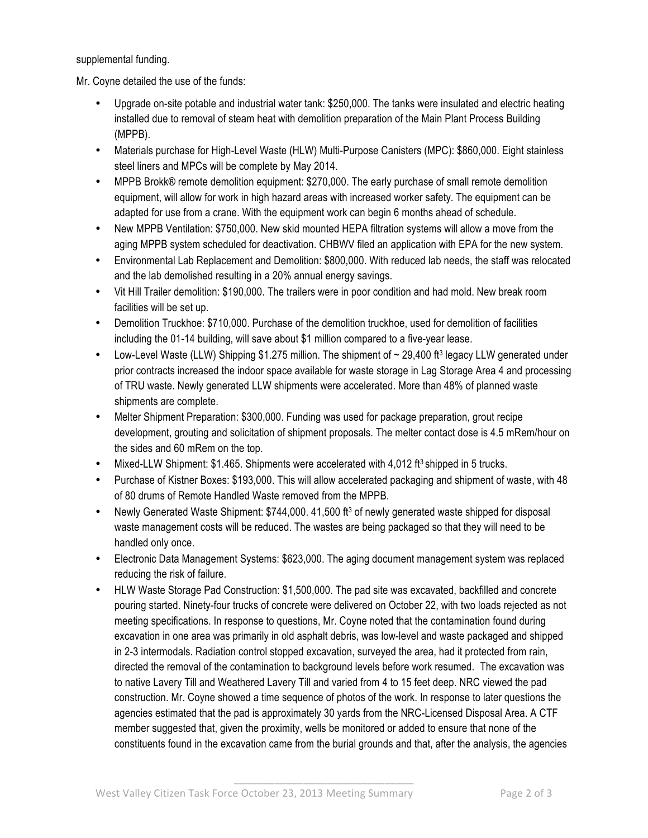supplemental funding.

Mr. Coyne detailed the use of the funds:

- Upgrade on-site potable and industrial water tank: \$250,000. The tanks were insulated and electric heating installed due to removal of steam heat with demolition preparation of the Main Plant Process Building (MPPB).
- Materials purchase for High-Level Waste (HLW) Multi-Purpose Canisters (MPC): \$860,000. Eight stainless steel liners and MPCs will be complete by May 2014.
- MPPB Brokk® remote demolition equipment: \$270,000. The early purchase of small remote demolition equipment, will allow for work in high hazard areas with increased worker safety. The equipment can be adapted for use from a crane. With the equipment work can begin 6 months ahead of schedule.
- New MPPB Ventilation: \$750,000. New skid mounted HEPA filtration systems will allow a move from the aging MPPB system scheduled for deactivation. CHBWV filed an application with EPA for the new system.
- Environmental Lab Replacement and Demolition: \$800,000. With reduced lab needs, the staff was relocated and the lab demolished resulting in a 20% annual energy savings.
- Vit Hill Trailer demolition: \$190,000. The trailers were in poor condition and had mold. New break room facilities will be set up.
- Demolition Truckhoe: \$710,000. Purchase of the demolition truckhoe, used for demolition of facilities including the 01-14 building, will save about \$1 million compared to a five-year lease.
- Low-Level Waste (LLW) Shipping  $$1.275$  million. The shipment of  $\sim$  29,400 ft<sup>3</sup> legacy LLW generated under prior contracts increased the indoor space available for waste storage in Lag Storage Area 4 and processing of TRU waste. Newly generated LLW shipments were accelerated. More than 48% of planned waste shipments are complete.
- Melter Shipment Preparation: \$300,000. Funding was used for package preparation, grout recipe development, grouting and solicitation of shipment proposals. The melter contact dose is 4.5 mRem/hour on the sides and 60 mRem on the top.
- Mixed-LLW Shipment: \$1.465. Shipments were accelerated with  $4.012$  ft<sup>3</sup> shipped in 5 trucks.
- Purchase of Kistner Boxes: \$193,000. This will allow accelerated packaging and shipment of waste, with 48 of 80 drums of Remote Handled Waste removed from the MPPB.
- Newly Generated Waste Shipment: \$744,000. 41,500 ft<sup>3</sup> of newly generated waste shipped for disposal waste management costs will be reduced. The wastes are being packaged so that they will need to be handled only once.
- Electronic Data Management Systems: \$623,000. The aging document management system was replaced reducing the risk of failure.
- HLW Waste Storage Pad Construction: \$1,500,000. The pad site was excavated, backfilled and concrete pouring started. Ninety-four trucks of concrete were delivered on October 22, with two loads rejected as not meeting specifications. In response to questions, Mr. Coyne noted that the contamination found during excavation in one area was primarily in old asphalt debris, was low-level and waste packaged and shipped in 2-3 intermodals. Radiation control stopped excavation, surveyed the area, had it protected from rain, directed the removal of the contamination to background levels before work resumed. The excavation was to native Lavery Till and Weathered Lavery Till and varied from 4 to 15 feet deep. NRC viewed the pad construction. Mr. Coyne showed a time sequence of photos of the work. In response to later questions the agencies estimated that the pad is approximately 30 yards from the NRC-Licensed Disposal Area. A CTF member suggested that, given the proximity, wells be monitored or added to ensure that none of the constituents found in the excavation came from the burial grounds and that, after the analysis, the agencies

\_\_\_\_\_\_\_\_\_\_\_\_\_\_\_\_\_\_\_\_\_\_\_\_\_\_\_\_\_\_\_